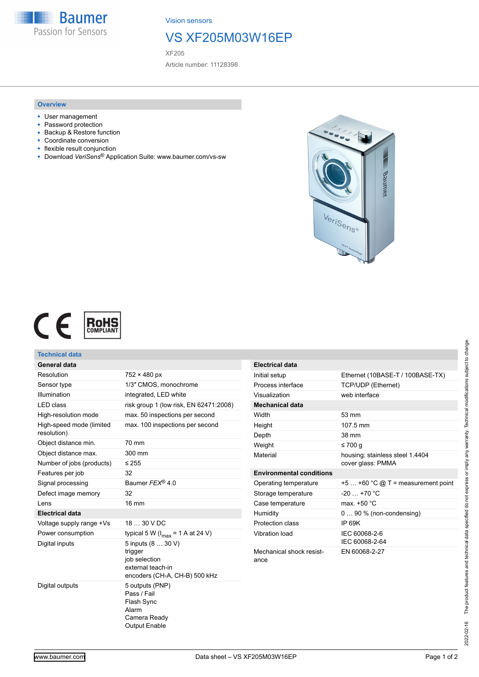**Baumer** Passion for Sensors

Vision sensors

## VS XF205M03W16EP

XF205

Article number: 11128398

## **Overview**

- User management
- Password protection
- Backup & Restore function
- Coordinate conversion
- flexible result conjunction
- Download *VeriSens*® Application Suite: www.baumer.com/vs-sw





| <b>Technical data</b>                   |                                                                                                      |                                  |                                     |
|-----------------------------------------|------------------------------------------------------------------------------------------------------|----------------------------------|-------------------------------------|
| General data                            |                                                                                                      | <b>Electrical data</b>           |                                     |
| Resolution                              | $752 \times 480$ px                                                                                  | Initial setup                    | Ethernet (10BASE-T / 100BASE-TX)    |
| Sensor type                             | 1/3" CMOS, monochrome                                                                                | Process interface                | <b>TCP/UDP (Ethernet)</b>           |
| Illumination                            | integrated, LED white                                                                                | Visualization                    | web interface                       |
| <b>LED</b> class                        | risk group 1 (low risk, EN 62471:2008)                                                               | <b>Mechanical data</b>           |                                     |
| High-resolution mode                    | max. 50 inspections per second                                                                       | Width                            | 53 mm                               |
| High-speed mode (limited<br>resolution) | max. 100 inspections per second                                                                      | Height<br>Depth                  | 107.5 mm<br>38 mm                   |
| Object distance min.                    | 70 mm                                                                                                | Weight                           | $\leq 700$ q                        |
| Object distance max.                    | 300 mm                                                                                               | Material                         | housing: stainless steel 1.4404     |
| Number of jobs (products)               | $\leq 255$                                                                                           |                                  | cover glass: PMMA                   |
| Features per job                        | 32                                                                                                   | <b>Environmental conditions</b>  |                                     |
| Signal processing                       | Baumer FEX® 4.0                                                                                      | Operating temperature            | +5  +60 °C $@T$ = measurement point |
| Defect image memory                     | 32                                                                                                   | Storage temperature              | $-20+70$ °C                         |
| Lens                                    | 16 mm                                                                                                | Case temperature                 | max. +50 °C                         |
| <b>Electrical data</b>                  |                                                                                                      | Humidity                         | $090\%$ (non-condensing)            |
| Voltage supply range +Vs                | 18  30 V DC                                                                                          | Protection class                 | <b>IP 69K</b>                       |
| Power consumption                       | typical 5 W ( $I_{max}$ = 1 A at 24 V)                                                               | <b>Vibration load</b>            | IEC 60068-2-6                       |
| Digital inputs                          | 5 inputs (8  30 V)<br>trigger<br>job selection<br>external teach-in<br>encoders (CH-A, CH-B) 500 kHz | Mechanical shock resist-<br>ance | IEC 60068-2-64<br>EN 60068-2-27     |
| Digital outputs                         | 5 outputs (PNP)<br>Pass / Fail<br>Flash Sync<br>Alarm<br>Camera Ready                                |                                  |                                     |

Output Enable